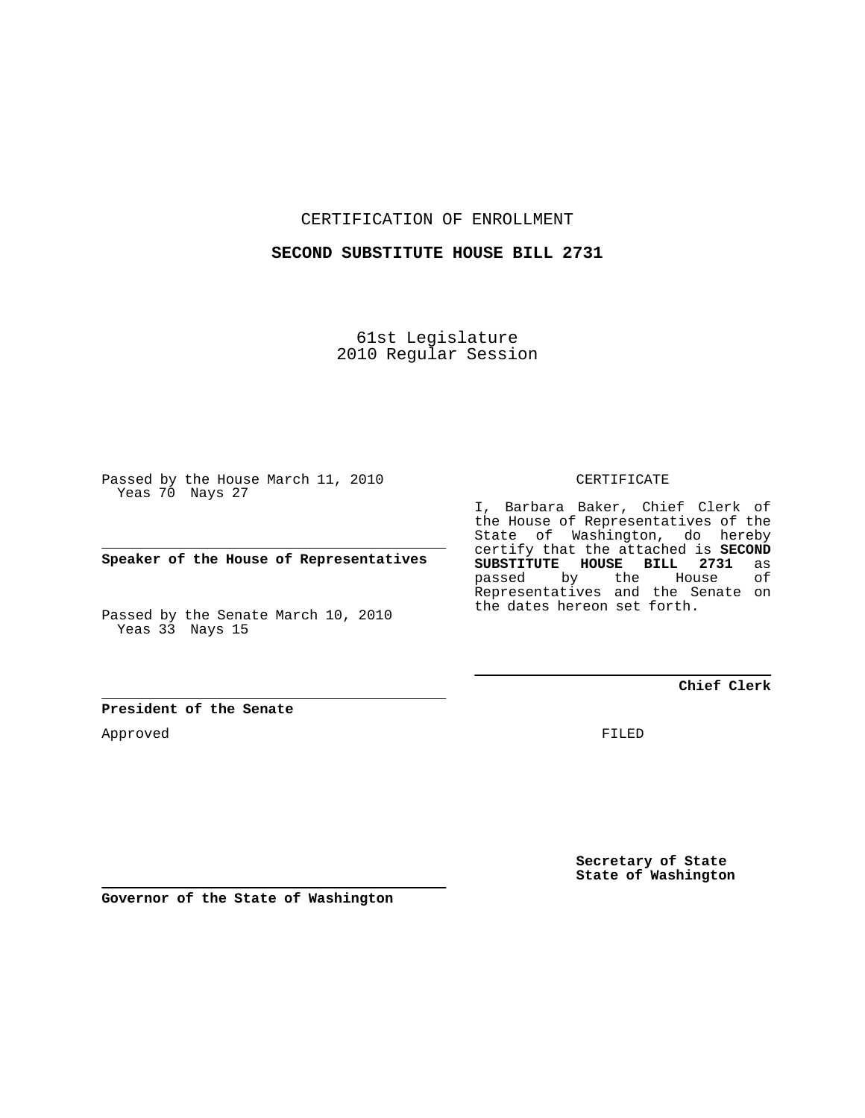CERTIFICATION OF ENROLLMENT

### **SECOND SUBSTITUTE HOUSE BILL 2731**

61st Legislature 2010 Regular Session

Passed by the House March 11, 2010 Yeas 70 Nays 27

**Speaker of the House of Representatives**

Passed by the Senate March 10, 2010 Yeas 33 Nays 15

**President of the Senate**

Approved

CERTIFICATE

I, Barbara Baker, Chief Clerk of the House of Representatives of the State of Washington, do hereby certify that the attached is **SECOND SUBSTITUTE HOUSE BILL 2731** as **House** Representatives and the Senate on the dates hereon set forth.

**Chief Clerk**

FILED

**Secretary of State State of Washington**

**Governor of the State of Washington**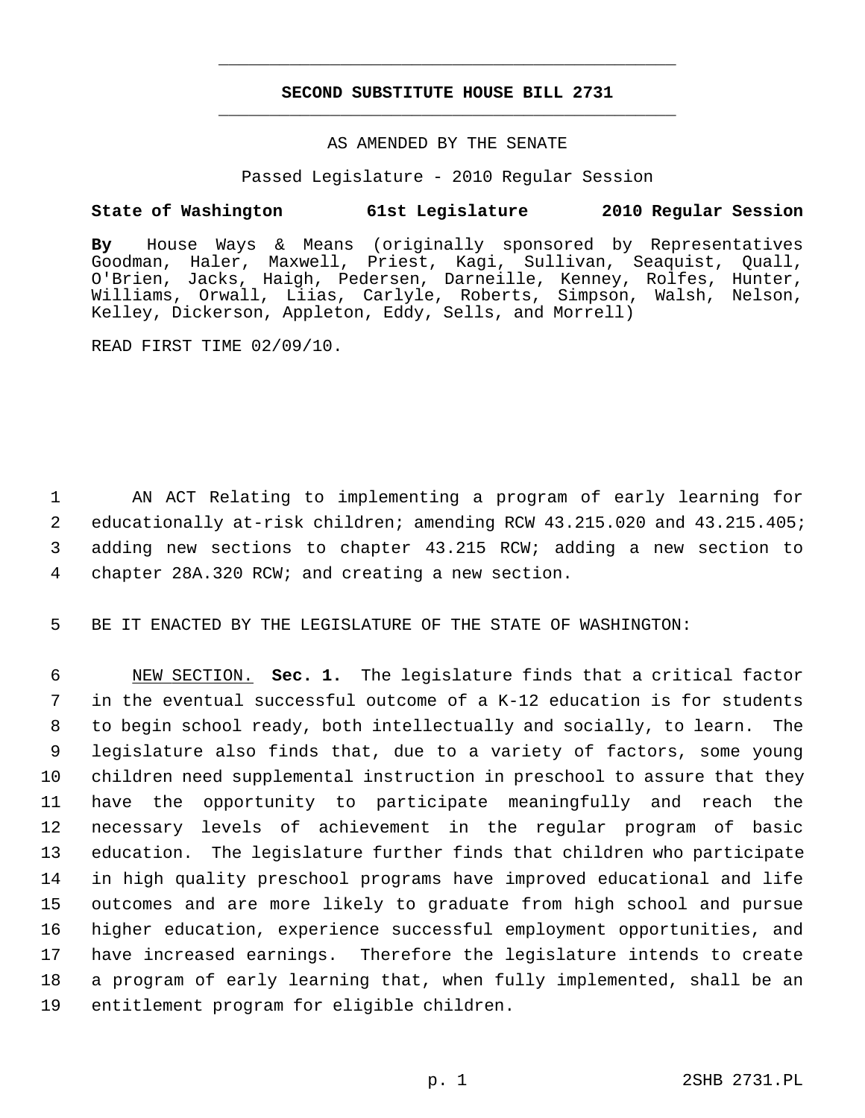# **SECOND SUBSTITUTE HOUSE BILL 2731** \_\_\_\_\_\_\_\_\_\_\_\_\_\_\_\_\_\_\_\_\_\_\_\_\_\_\_\_\_\_\_\_\_\_\_\_\_\_\_\_\_\_\_\_\_

\_\_\_\_\_\_\_\_\_\_\_\_\_\_\_\_\_\_\_\_\_\_\_\_\_\_\_\_\_\_\_\_\_\_\_\_\_\_\_\_\_\_\_\_\_

## AS AMENDED BY THE SENATE

Passed Legislature - 2010 Regular Session

## **State of Washington 61st Legislature 2010 Regular Session**

**By** House Ways & Means (originally sponsored by Representatives Goodman, Haler, Maxwell, Priest, Kagi, Sullivan, Seaquist, Quall, O'Brien, Jacks, Haigh, Pedersen, Darneille, Kenney, Rolfes, Hunter, Williams, Orwall, Liias, Carlyle, Roberts, Simpson, Walsh, Nelson, Kelley, Dickerson, Appleton, Eddy, Sells, and Morrell)

READ FIRST TIME 02/09/10.

 1 AN ACT Relating to implementing a program of early learning for 2 educationally at-risk children; amending RCW 43.215.020 and 43.215.405; 3 adding new sections to chapter 43.215 RCW; adding a new section to 4 chapter 28A.320 RCW; and creating a new section.

5 BE IT ENACTED BY THE LEGISLATURE OF THE STATE OF WASHINGTON:

 6 NEW SECTION. **Sec. 1.** The legislature finds that a critical factor 7 in the eventual successful outcome of a K-12 education is for students 8 to begin school ready, both intellectually and socially, to learn. The 9 legislature also finds that, due to a variety of factors, some young 10 children need supplemental instruction in preschool to assure that they 11 have the opportunity to participate meaningfully and reach the 12 necessary levels of achievement in the regular program of basic 13 education. The legislature further finds that children who participate 14 in high quality preschool programs have improved educational and life 15 outcomes and are more likely to graduate from high school and pursue 16 higher education, experience successful employment opportunities, and 17 have increased earnings. Therefore the legislature intends to create 18 a program of early learning that, when fully implemented, shall be an 19 entitlement program for eligible children.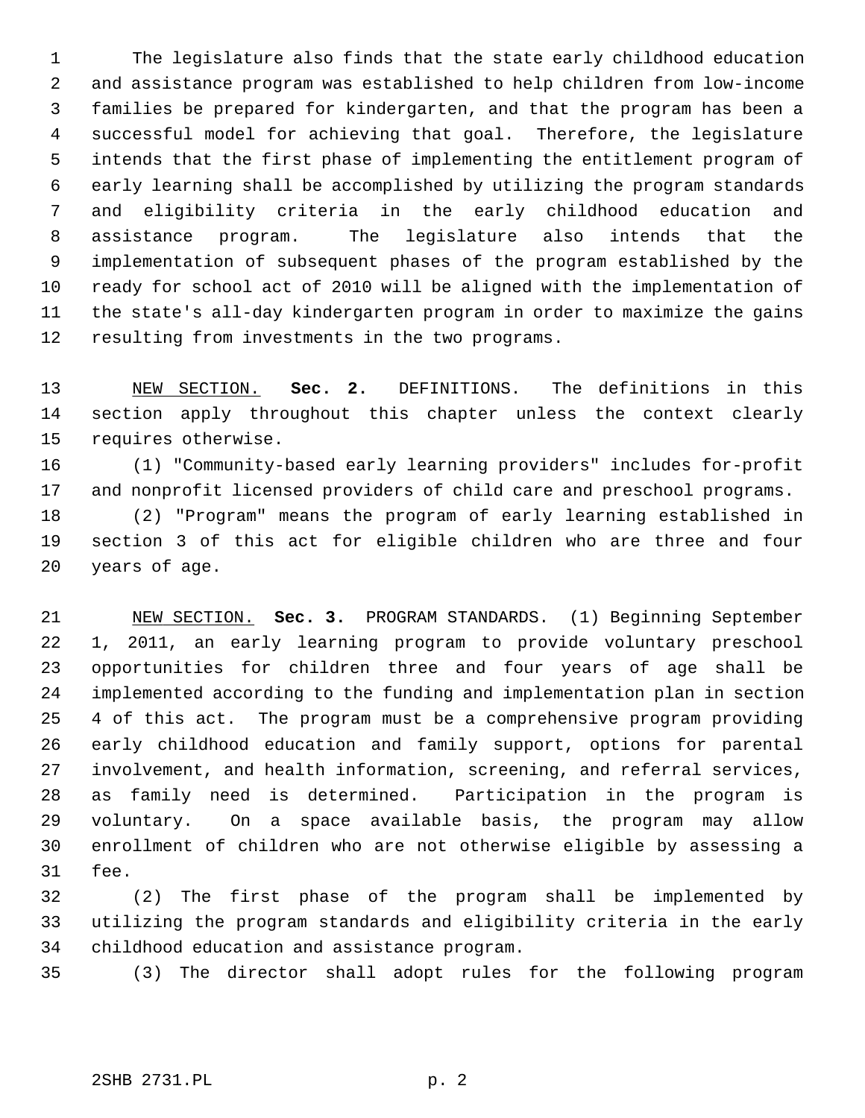1 The legislature also finds that the state early childhood education 2 and assistance program was established to help children from low-income 3 families be prepared for kindergarten, and that the program has been a 4 successful model for achieving that goal. Therefore, the legislature 5 intends that the first phase of implementing the entitlement program of 6 early learning shall be accomplished by utilizing the program standards 7 and eligibility criteria in the early childhood education and 8 assistance program. The legislature also intends that the 9 implementation of subsequent phases of the program established by the 10 ready for school act of 2010 will be aligned with the implementation of 11 the state's all-day kindergarten program in order to maximize the gains 12 resulting from investments in the two programs.

13 NEW SECTION. **Sec. 2.** DEFINITIONS. The definitions in this 14 section apply throughout this chapter unless the context clearly 15 requires otherwise.

16 (1) "Community-based early learning providers" includes for-profit 17 and nonprofit licensed providers of child care and preschool programs.

18 (2) "Program" means the program of early learning established in 19 section 3 of this act for eligible children who are three and four 20 years of age.

21 NEW SECTION. **Sec. 3.** PROGRAM STANDARDS. (1) Beginning September 22 1, 2011, an early learning program to provide voluntary preschool 23 opportunities for children three and four years of age shall be 24 implemented according to the funding and implementation plan in section 25 4 of this act. The program must be a comprehensive program providing 26 early childhood education and family support, options for parental 27 involvement, and health information, screening, and referral services, 28 as family need is determined. Participation in the program is 29 voluntary. On a space available basis, the program may allow 30 enrollment of children who are not otherwise eligible by assessing a 31 fee.

32 (2) The first phase of the program shall be implemented by 33 utilizing the program standards and eligibility criteria in the early 34 childhood education and assistance program.

35 (3) The director shall adopt rules for the following program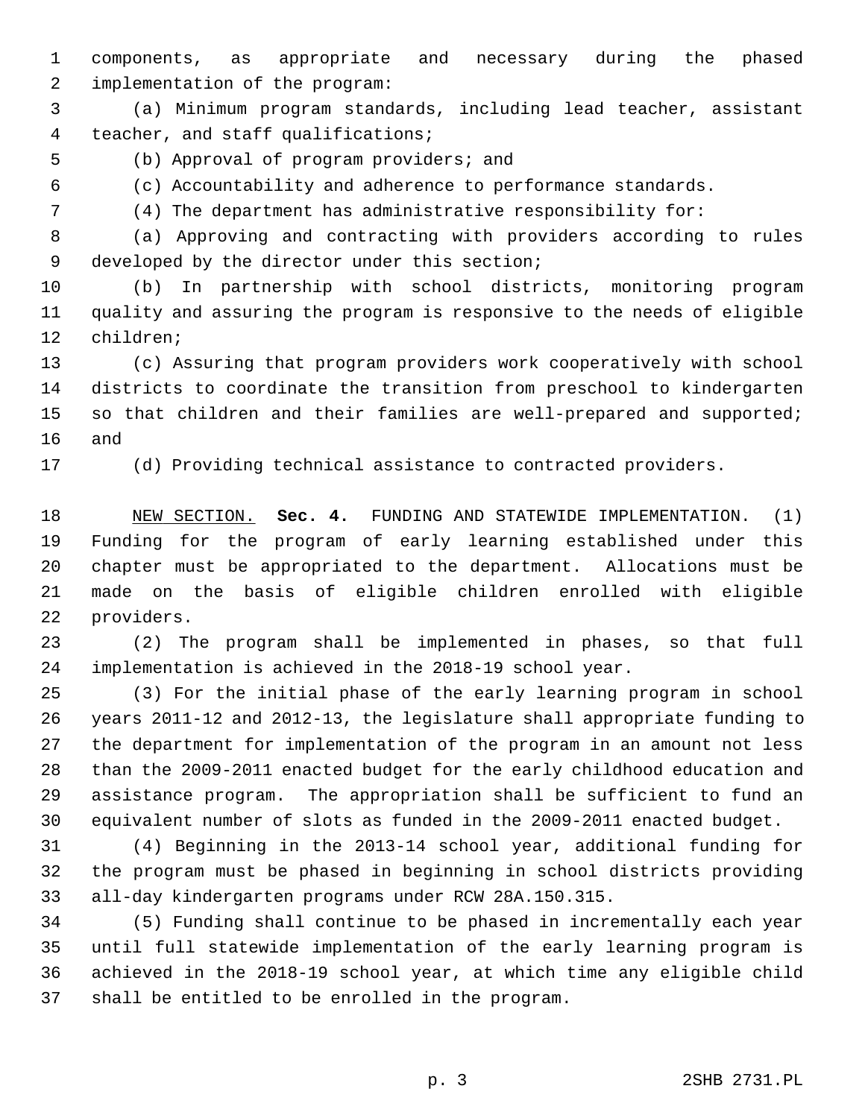1 components, as appropriate and necessary during the phased 2 implementation of the program:

 3 (a) Minimum program standards, including lead teacher, assistant 4 teacher, and staff qualifications;

5 (b) Approval of program providers; and

6 (c) Accountability and adherence to performance standards.

7 (4) The department has administrative responsibility for:

 8 (a) Approving and contracting with providers according to rules 9 developed by the director under this section;

10 (b) In partnership with school districts, monitoring program 11 quality and assuring the program is responsive to the needs of eligible 12 children;

13 (c) Assuring that program providers work cooperatively with school 14 districts to coordinate the transition from preschool to kindergarten 15 so that children and their families are well-prepared and supported; 16 and

17 (d) Providing technical assistance to contracted providers.

18 NEW SECTION. **Sec. 4.** FUNDING AND STATEWIDE IMPLEMENTATION. (1) 19 Funding for the program of early learning established under this 20 chapter must be appropriated to the department. Allocations must be 21 made on the basis of eligible children enrolled with eligible 22 providers.

23 (2) The program shall be implemented in phases, so that full 24 implementation is achieved in the 2018-19 school year.

25 (3) For the initial phase of the early learning program in school 26 years 2011-12 and 2012-13, the legislature shall appropriate funding to 27 the department for implementation of the program in an amount not less 28 than the 2009-2011 enacted budget for the early childhood education and 29 assistance program. The appropriation shall be sufficient to fund an 30 equivalent number of slots as funded in the 2009-2011 enacted budget.

31 (4) Beginning in the 2013-14 school year, additional funding for 32 the program must be phased in beginning in school districts providing 33 all-day kindergarten programs under RCW 28A.150.315.

34 (5) Funding shall continue to be phased in incrementally each year 35 until full statewide implementation of the early learning program is 36 achieved in the 2018-19 school year, at which time any eligible child 37 shall be entitled to be enrolled in the program.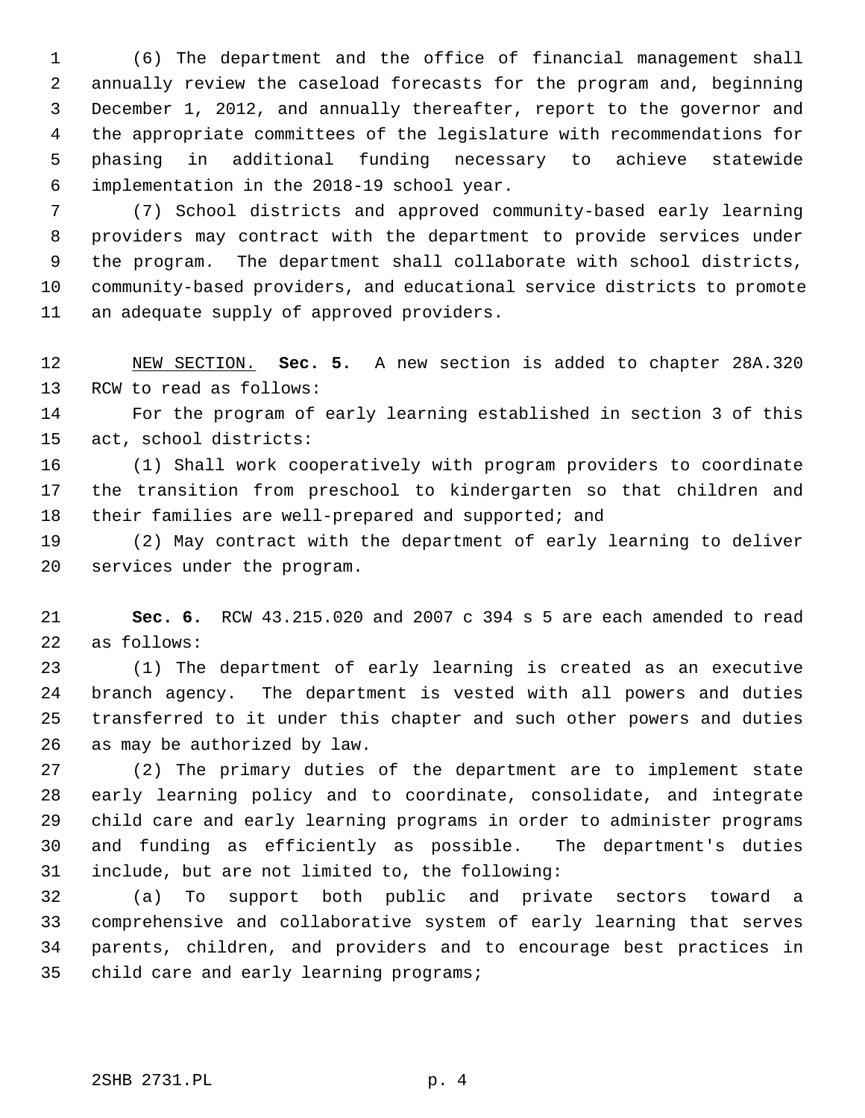1 (6) The department and the office of financial management shall 2 annually review the caseload forecasts for the program and, beginning 3 December 1, 2012, and annually thereafter, report to the governor and 4 the appropriate committees of the legislature with recommendations for 5 phasing in additional funding necessary to achieve statewide 6 implementation in the 2018-19 school year.

 7 (7) School districts and approved community-based early learning 8 providers may contract with the department to provide services under 9 the program. The department shall collaborate with school districts, 10 community-based providers, and educational service districts to promote 11 an adequate supply of approved providers.

12 NEW SECTION. **Sec. 5.** A new section is added to chapter 28A.320 13 RCW to read as follows:

14 For the program of early learning established in section 3 of this 15 act, school districts:

16 (1) Shall work cooperatively with program providers to coordinate 17 the transition from preschool to kindergarten so that children and 18 their families are well-prepared and supported; and

19 (2) May contract with the department of early learning to deliver 20 services under the program.

21 **Sec. 6.** RCW 43.215.020 and 2007 c 394 s 5 are each amended to read 22 as follows:

23 (1) The department of early learning is created as an executive 24 branch agency. The department is vested with all powers and duties 25 transferred to it under this chapter and such other powers and duties 26 as may be authorized by law.

27 (2) The primary duties of the department are to implement state 28 early learning policy and to coordinate, consolidate, and integrate 29 child care and early learning programs in order to administer programs 30 and funding as efficiently as possible. The department's duties 31 include, but are not limited to, the following:

32 (a) To support both public and private sectors toward a 33 comprehensive and collaborative system of early learning that serves 34 parents, children, and providers and to encourage best practices in 35 child care and early learning programs;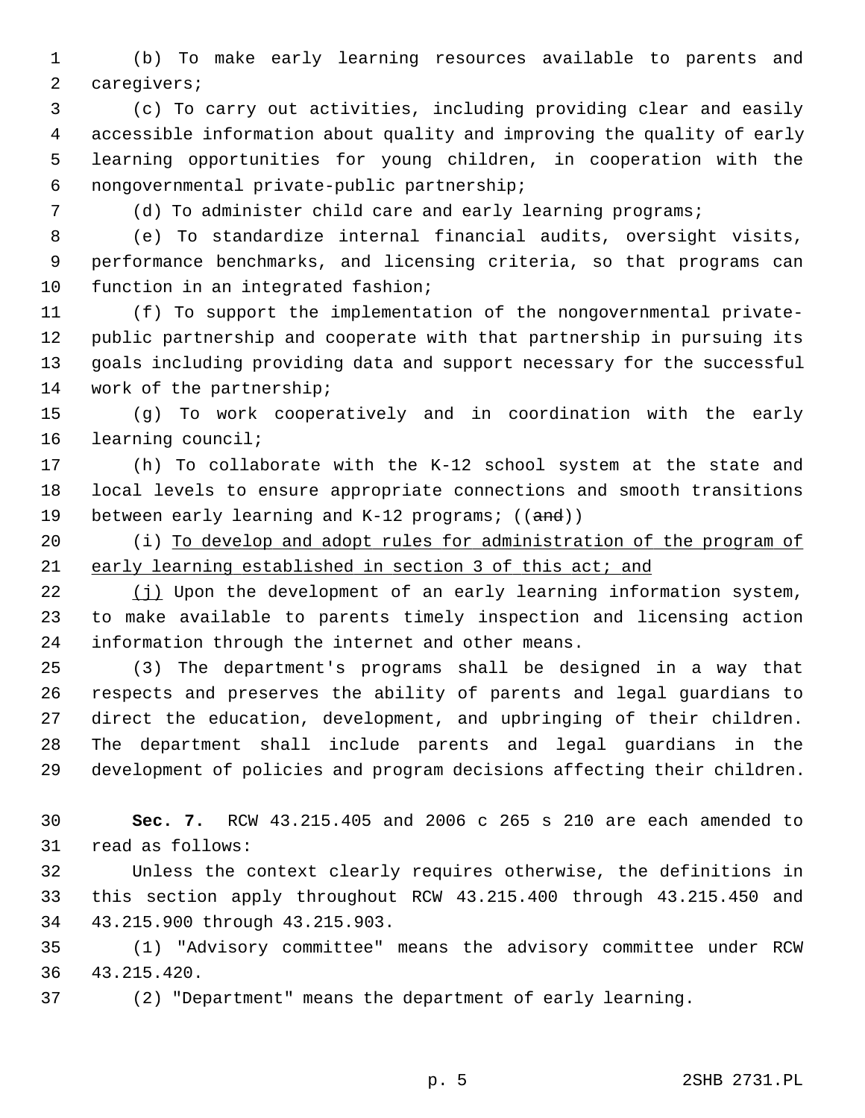1 (b) To make early learning resources available to parents and 2 caregivers;

 3 (c) To carry out activities, including providing clear and easily 4 accessible information about quality and improving the quality of early 5 learning opportunities for young children, in cooperation with the 6 nongovernmental private-public partnership;

7 (d) To administer child care and early learning programs;

 8 (e) To standardize internal financial audits, oversight visits, 9 performance benchmarks, and licensing criteria, so that programs can 10 function in an integrated fashion;

11 (f) To support the implementation of the nongovernmental private-12 public partnership and cooperate with that partnership in pursuing its 13 goals including providing data and support necessary for the successful 14 work of the partnership;

15 (g) To work cooperatively and in coordination with the early 16 learning council;

17 (h) To collaborate with the K-12 school system at the state and 18 local levels to ensure appropriate connections and smooth transitions 19 between early learning and K-12 programs; ((and))

20 (i) To develop and adopt rules for administration of the program of 21 early learning established in section 3 of this act; and

22 (j) Upon the development of an early learning information system, 23 to make available to parents timely inspection and licensing action 24 information through the internet and other means.

25 (3) The department's programs shall be designed in a way that 26 respects and preserves the ability of parents and legal guardians to 27 direct the education, development, and upbringing of their children. 28 The department shall include parents and legal guardians in the 29 development of policies and program decisions affecting their children.

30 **Sec. 7.** RCW 43.215.405 and 2006 c 265 s 210 are each amended to 31 read as follows:

32 Unless the context clearly requires otherwise, the definitions in 33 this section apply throughout RCW 43.215.400 through 43.215.450 and 34 43.215.900 through 43.215.903.

35 (1) "Advisory committee" means the advisory committee under RCW 36 43.215.420.

37 (2) "Department" means the department of early learning.